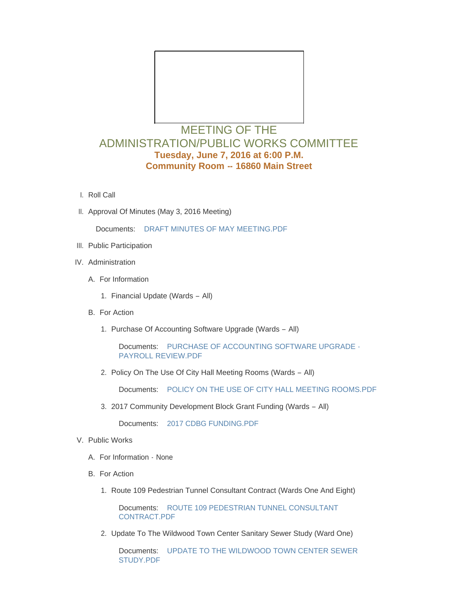

## MEETING OF THE ADMINISTRATION/PUBLIC WORKS COMMITTEE **Tuesday, June 7, 2016 at 6:00 P.M. Community Room -- 16860 Main Street**

- l. Roll Call
- II. Approval Of Minutes (May 3, 2016 Meeting)

Documents: [DRAFT MINUTES OF MAY MEETING.PDF](http://mo-wildwood.civicplus.com/AgendaCenter/ViewFile/Item/7151?fileID=10950)

- III. Public Participation
- IV. Administration
	- A. For Information
		- 1. Financial Update (Wards All)
	- B. For Action
		- 1. Purchase Of Accounting Software Upgrade (Wards All)

Documents: [PURCHASE OF ACCOUNTING SOFTWARE UPGRADE -](http://mo-wildwood.civicplus.com/AgendaCenter/ViewFile/Item/7157?fileID=10963) PAYROLL REVIEW.PDF

2. Policy On The Use Of City Hall Meeting Rooms (Wards - All)

Documents: [POLICY ON THE USE OF CITY HALL MEETING ROOMS.PDF](http://mo-wildwood.civicplus.com/AgendaCenter/ViewFile/Item/7158?fileID=10967)

2017 Community Development Block Grant Funding (Wards – All) 3.

Documents: [2017 CDBG FUNDING.PDF](http://mo-wildwood.civicplus.com/AgendaCenter/ViewFile/Item/7159?fileID=10962)

- V. Public Works
	- A. For Information None
	- B. For Action
		- 1. Route 109 Pedestrian Tunnel Consultant Contract (Wards One And Eight)

Documents: ROUTE 109 PEDESTRIAN TUNNEL CONSULTANT CONTRACT.PDF

2. Update To The Wildwood Town Center Sanitary Sewer Study (Ward One)

Documents: UPDATE TO THE WILDWOOD TOWN CENTER SEWER STUDY.PDF